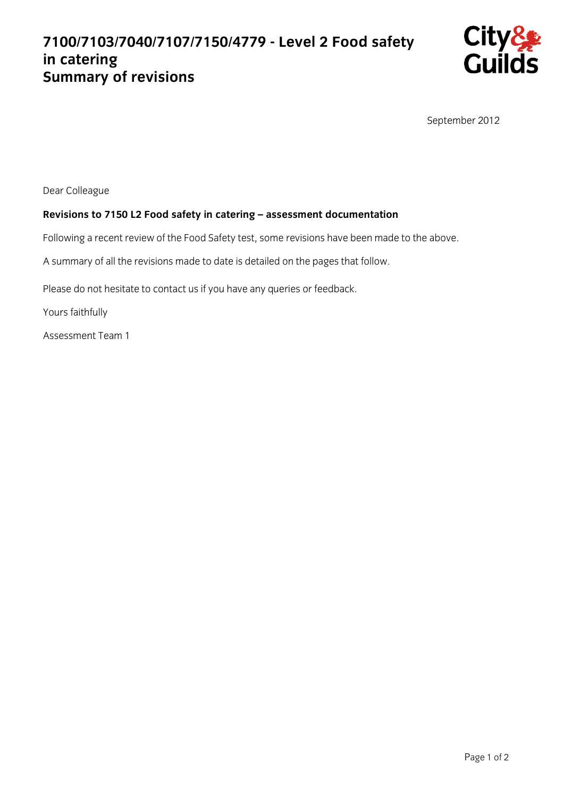## **7100/7103/7040/7107/7150/4779 - Level 2 Food safety in catering Summary of revisions**



September 2012

Dear Colleague

## **Revisions to 7150 L2 Food safety in catering – assessment documentation**

Following a recent review of the Food Safety test, some revisions have been made to the above.

A summary of all the revisions made to date is detailed on the pages that follow.

Please do not hesitate to contact us if you have any queries or feedback.

Yours faithfully

Assessment Team 1